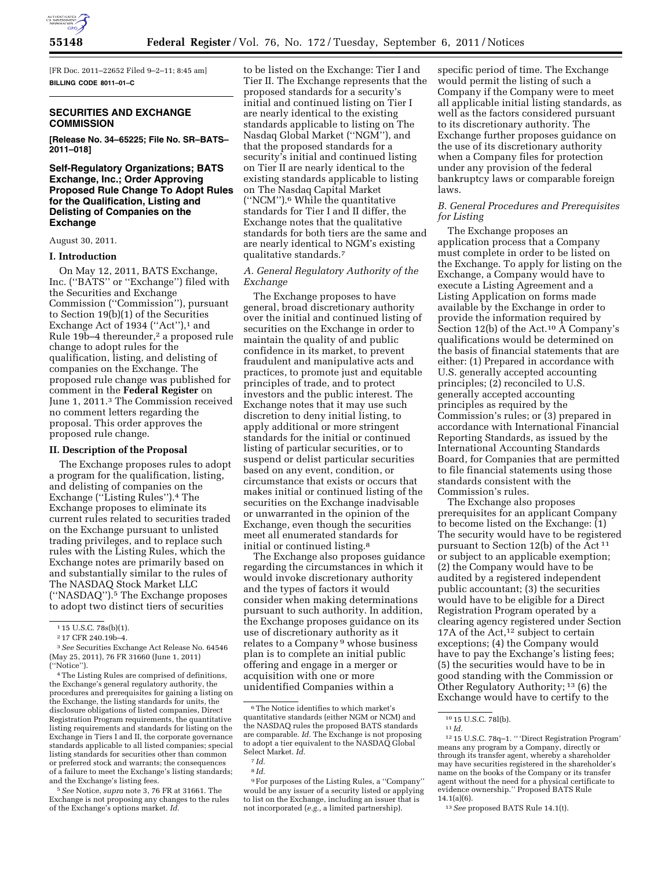

[FR Doc. 2011–22652 Filed 9–2–11; 8:45 am] **BILLING CODE 8011–01–C** 

### **SECURITIES AND EXCHANGE COMMISSION**

**[Release No. 34–65225; File No. SR–BATS– 2011–018]** 

# **Self-Regulatory Organizations; BATS Exchange, Inc.; Order Approving Proposed Rule Change To Adopt Rules for the Qualification, Listing and Delisting of Companies on the Exchange**

August 30, 2011.

#### **I. Introduction**

On May 12, 2011, BATS Exchange, Inc. (''BATS'' or ''Exchange'') filed with the Securities and Exchange Commission (''Commission''), pursuant to Section 19(b)(1) of the Securities Exchange Act of 1934 ("Act"),<sup>1</sup> and Rule 19b-4 thereunder,<sup>2</sup> a proposed rule change to adopt rules for the qualification, listing, and delisting of companies on the Exchange. The proposed rule change was published for comment in the **Federal Register** on June 1, 2011.3 The Commission received no comment letters regarding the proposal. This order approves the proposed rule change.

#### **II. Description of the Proposal**

The Exchange proposes rules to adopt a program for the qualification, listing, and delisting of companies on the Exchange (''Listing Rules'').4 The Exchange proposes to eliminate its current rules related to securities traded on the Exchange pursuant to unlisted trading privileges, and to replace such rules with the Listing Rules, which the Exchange notes are primarily based on and substantially similar to the rules of The NASDAQ Stock Market LLC (''NASDAQ'').5 The Exchange proposes to adopt two distinct tiers of securities

5*See* Notice, *supra* note 3, 76 FR at 31661. The Exchange is not proposing any changes to the rules of the Exchange's options market. *Id.* 

to be listed on the Exchange: Tier I and Tier II. The Exchange represents that the proposed standards for a security's initial and continued listing on Tier I are nearly identical to the existing standards applicable to listing on The Nasdaq Global Market (''NGM''), and that the proposed standards for a security's initial and continued listing on Tier II are nearly identical to the existing standards applicable to listing on The Nasdaq Capital Market (''NCM'').6 While the quantitative standards for Tier I and II differ, the Exchange notes that the qualitative standards for both tiers are the same and are nearly identical to NGM's existing qualitative standards.7

# *A. General Regulatory Authority of the Exchange*

The Exchange proposes to have general, broad discretionary authority over the initial and continued listing of securities on the Exchange in order to maintain the quality of and public confidence in its market, to prevent fraudulent and manipulative acts and practices, to promote just and equitable principles of trade, and to protect investors and the public interest. The Exchange notes that it may use such discretion to deny initial listing, to apply additional or more stringent standards for the initial or continued listing of particular securities, or to suspend or delist particular securities based on any event, condition, or circumstance that exists or occurs that makes initial or continued listing of the securities on the Exchange inadvisable or unwarranted in the opinion of the Exchange, even though the securities meet all enumerated standards for initial or continued listing.8

The Exchange also proposes guidance regarding the circumstances in which it would invoke discretionary authority and the types of factors it would consider when making determinations pursuant to such authority. In addition, the Exchange proposes guidance on its use of discretionary authority as it relates to a Company 9 whose business plan is to complete an initial public offering and engage in a merger or acquisition with one or more unidentified Companies within a

specific period of time. The Exchange would permit the listing of such a Company if the Company were to meet all applicable initial listing standards, as well as the factors considered pursuant to its discretionary authority. The Exchange further proposes guidance on the use of its discretionary authority when a Company files for protection under any provision of the federal bankruptcy laws or comparable foreign laws.

### *B. General Procedures and Prerequisites for Listing*

The Exchange proposes an application process that a Company must complete in order to be listed on the Exchange. To apply for listing on the Exchange, a Company would have to execute a Listing Agreement and a Listing Application on forms made available by the Exchange in order to provide the information required by Section 12(b) of the Act.10 A Company's qualifications would be determined on the basis of financial statements that are either: (1) Prepared in accordance with U.S. generally accepted accounting principles; (2) reconciled to U.S. generally accepted accounting principles as required by the Commission's rules; or (3) prepared in accordance with International Financial Reporting Standards, as issued by the International Accounting Standards Board, for Companies that are permitted to file financial statements using those standards consistent with the Commission's rules.

The Exchange also proposes prerequisites for an applicant Company to become listed on the Exchange: (1) The security would have to be registered pursuant to Section 12(b) of the Act 11 or subject to an applicable exemption; (2) the Company would have to be audited by a registered independent public accountant; (3) the securities would have to be eligible for a Direct Registration Program operated by a clearing agency registered under Section 17A of the Act,<sup>12</sup> subject to certain exceptions; (4) the Company would have to pay the Exchange's listing fees; (5) the securities would have to be in good standing with the Commission or Other Regulatory Authority; 13 (6) the Exchange would have to certify to the

<sup>1</sup> 15 U.S.C. 78s(b)(1).

<sup>2</sup> 17 CFR 240.19b–4.

<sup>3</sup>*See* Securities Exchange Act Release No. 64546 (May 25, 2011), 76 FR 31660 (June 1, 2011) (''Notice'').

<sup>4</sup>The Listing Rules are comprised of definitions, the Exchange's general regulatory authority, the procedures and prerequisites for gaining a listing on the Exchange, the listing standards for units, the disclosure obligations of listed companies, Direct Registration Program requirements, the quantitative listing requirements and standards for listing on the Exchange in Tiers I and II, the corporate governance standards applicable to all listed companies; special listing standards for securities other than common or preferred stock and warrants; the consequences of a failure to meet the Exchange's listing standards; and the Exchange's listing fees.

<sup>6</sup>The Notice identifies to which market's quantitative standards (either NGM or NCM) and the NASDAQ rules the proposed BATS standards are comparable. *Id.* The Exchange is not proposing to adopt a tier equivalent to the NASDAQ Global Select Market. *Id.* 

<sup>7</sup> *Id.* 

<sup>8</sup> *Id.* 

<sup>9</sup>For purposes of the Listing Rules, a ''Company'' would be any issuer of a security listed or applying to list on the Exchange, including an issuer that is not incorporated (*e.g.,* a limited partnership).

<sup>10</sup> 15 U.S.C. 78l(b). 11 *Id.* 

<sup>12</sup> 15 U.S.C. 78q–1. '' 'Direct Registration Program' means any program by a Company, directly or through its transfer agent, whereby a shareholder may have securities registered in the shareholder's name on the books of the Company or its transfer agent without the need for a physical certificate to evidence ownership.'' Proposed BATS Rule  $14.1(a)(6)$ .

<sup>13</sup>*See* proposed BATS Rule 14.1(t).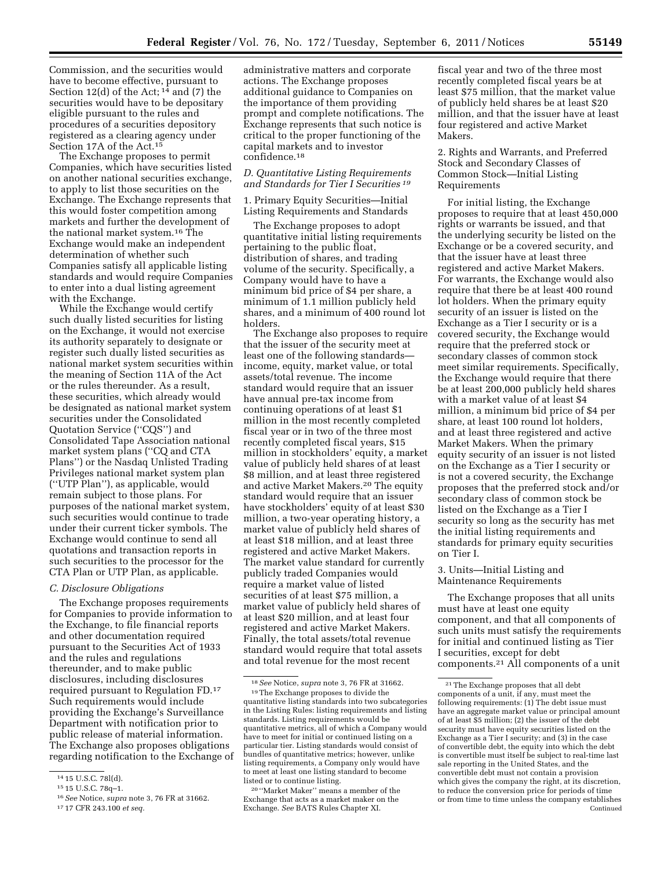Commission, and the securities would have to become effective, pursuant to Section 12(d) of the Act; 14 and (7) the securities would have to be depositary eligible pursuant to the rules and procedures of a securities depository registered as a clearing agency under Section 17A of the Act.15

The Exchange proposes to permit Companies, which have securities listed on another national securities exchange, to apply to list those securities on the Exchange. The Exchange represents that this would foster competition among markets and further the development of the national market system.16 The Exchange would make an independent determination of whether such Companies satisfy all applicable listing standards and would require Companies to enter into a dual listing agreement with the Exchange.

While the Exchange would certify such dually listed securities for listing on the Exchange, it would not exercise its authority separately to designate or register such dually listed securities as national market system securities within the meaning of Section 11A of the Act or the rules thereunder. As a result, these securities, which already would be designated as national market system securities under the Consolidated Quotation Service (''CQS'') and Consolidated Tape Association national market system plans (''CQ and CTA Plans'') or the Nasdaq Unlisted Trading Privileges national market system plan (''UTP Plan''), as applicable, would remain subject to those plans. For purposes of the national market system, such securities would continue to trade under their current ticker symbols. The Exchange would continue to send all quotations and transaction reports in such securities to the processor for the CTA Plan or UTP Plan, as applicable.

#### *C. Disclosure Obligations*

The Exchange proposes requirements for Companies to provide information to the Exchange, to file financial reports and other documentation required pursuant to the Securities Act of 1933 and the rules and regulations thereunder, and to make public disclosures, including disclosures required pursuant to Regulation FD.17 Such requirements would include providing the Exchange's Surveillance Department with notification prior to public release of material information. The Exchange also proposes obligations regarding notification to the Exchange of administrative matters and corporate actions. The Exchange proposes additional guidance to Companies on the importance of them providing prompt and complete notifications. The Exchange represents that such notice is critical to the proper functioning of the capital markets and to investor confidence.18

### *D. Quantitative Listing Requirements and Standards for Tier I Securities 19*

1. Primary Equity Securities—Initial Listing Requirements and Standards

The Exchange proposes to adopt quantitative initial listing requirements pertaining to the public float, distribution of shares, and trading volume of the security. Specifically, a Company would have to have a minimum bid price of \$4 per share, a minimum of 1.1 million publicly held shares, and a minimum of 400 round lot holders.

The Exchange also proposes to require that the issuer of the security meet at least one of the following standards income, equity, market value, or total assets/total revenue. The income standard would require that an issuer have annual pre-tax income from continuing operations of at least \$1 million in the most recently completed fiscal year or in two of the three most recently completed fiscal years, \$15 million in stockholders' equity, a market value of publicly held shares of at least \$8 million, and at least three registered and active Market Makers.20 The equity standard would require that an issuer have stockholders' equity of at least \$30 million, a two-year operating history, a market value of publicly held shares of at least \$18 million, and at least three registered and active Market Makers. The market value standard for currently publicly traded Companies would require a market value of listed securities of at least \$75 million, a market value of publicly held shares of at least \$20 million, and at least four registered and active Market Makers. Finally, the total assets/total revenue standard would require that total assets and total revenue for the most recent

fiscal year and two of the three most recently completed fiscal years be at least \$75 million, that the market value of publicly held shares be at least \$20 million, and that the issuer have at least four registered and active Market Makers.

2. Rights and Warrants, and Preferred Stock and Secondary Classes of Common Stock—Initial Listing Requirements

For initial listing, the Exchange proposes to require that at least 450,000 rights or warrants be issued, and that the underlying security be listed on the Exchange or be a covered security, and that the issuer have at least three registered and active Market Makers. For warrants, the Exchange would also require that there be at least 400 round lot holders. When the primary equity security of an issuer is listed on the Exchange as a Tier I security or is a covered security, the Exchange would require that the preferred stock or secondary classes of common stock meet similar requirements. Specifically, the Exchange would require that there be at least 200,000 publicly held shares with a market value of at least \$4 million, a minimum bid price of \$4 per share, at least 100 round lot holders, and at least three registered and active Market Makers. When the primary equity security of an issuer is not listed on the Exchange as a Tier I security or is not a covered security, the Exchange proposes that the preferred stock and/or secondary class of common stock be listed on the Exchange as a Tier I security so long as the security has met the initial listing requirements and standards for primary equity securities on Tier I.

3. Units—Initial Listing and Maintenance Requirements

The Exchange proposes that all units must have at least one equity component, and that all components of such units must satisfy the requirements for initial and continued listing as Tier I securities, except for debt components.21 All components of a unit

<sup>14</sup> 15 U.S.C. 78l(d).

<sup>15</sup> 15 U.S.C. 78q–1.

<sup>16</sup>*See* Notice, *supra* note 3, 76 FR at 31662.

<sup>17</sup> 17 CFR 243.100 *et seq.* 

<sup>18</sup>*See* Notice, *supra* note 3, 76 FR at 31662.

<sup>19</sup>The Exchange proposes to divide the quantitative listing standards into two subcategories in the Listing Rules: listing requirements and listing standards. Listing requirements would be quantitative metrics, all of which a Company would have to meet for initial or continued listing on a particular tier. Listing standards would consist of bundles of quantitative metrics; however, unlike listing requirements, a Company only would have to meet at least one listing standard to become listed or to continue listing.

<sup>20</sup> ''Market Maker'' means a member of the Exchange that acts as a market maker on the Exchange. *See* BATS Rules Chapter XI.

 $\ensuremath{^{21}\text{The}}$  Exchange proposes that all debt components of a unit, if any, must meet the following requirements: (1) The debt issue must have an aggregate market value or principal amount of at least \$5 million; (2) the issuer of the debt security must have equity securities listed on the Exchange as a Tier I security; and (3) in the case of convertible debt, the equity into which the debt is convertible must itself be subject to real-time last sale reporting in the United States, and the convertible debt must not contain a provision which gives the company the right, at its discretion, to reduce the conversion price for periods of time or from time to time unless the company establishes Continued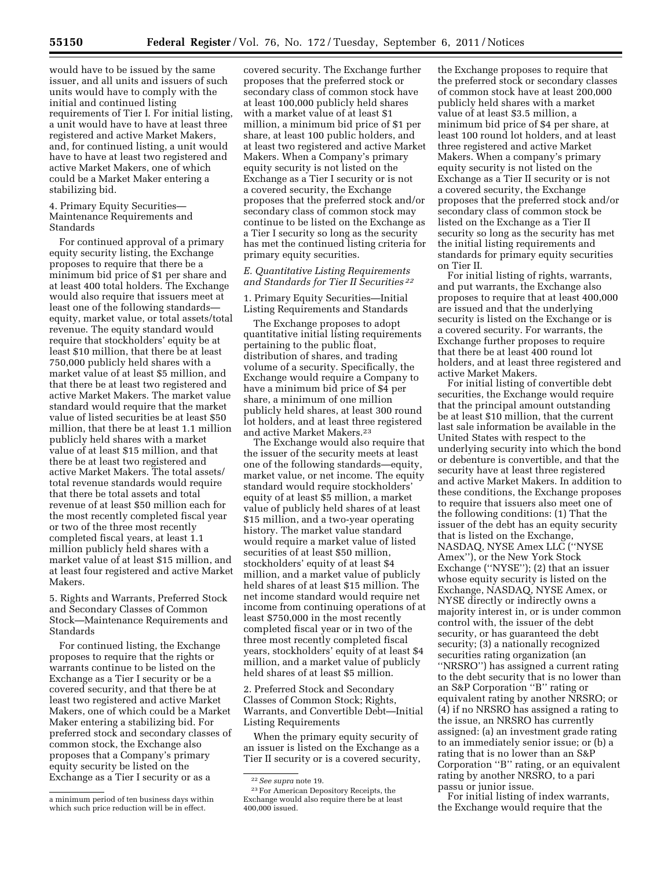would have to be issued by the same issuer, and all units and issuers of such units would have to comply with the initial and continued listing requirements of Tier I. For initial listing, a unit would have to have at least three registered and active Market Makers, and, for continued listing, a unit would have to have at least two registered and active Market Makers, one of which could be a Market Maker entering a stabilizing bid.

### 4. Primary Equity Securities— Maintenance Requirements and Standards

For continued approval of a primary equity security listing, the Exchange proposes to require that there be a minimum bid price of \$1 per share and at least 400 total holders. The Exchange would also require that issuers meet at least one of the following standards equity, market value, or total assets/total revenue. The equity standard would require that stockholders' equity be at least \$10 million, that there be at least 750,000 publicly held shares with a market value of at least \$5 million, and that there be at least two registered and active Market Makers. The market value standard would require that the market value of listed securities be at least \$50 million, that there be at least 1.1 million publicly held shares with a market value of at least \$15 million, and that there be at least two registered and active Market Makers. The total assets/ total revenue standards would require that there be total assets and total revenue of at least \$50 million each for the most recently completed fiscal year or two of the three most recently completed fiscal years, at least 1.1 million publicly held shares with a market value of at least \$15 million, and at least four registered and active Market Makers.

5. Rights and Warrants, Preferred Stock and Secondary Classes of Common Stock—Maintenance Requirements and Standards

For continued listing, the Exchange proposes to require that the rights or warrants continue to be listed on the Exchange as a Tier I security or be a covered security, and that there be at least two registered and active Market Makers, one of which could be a Market Maker entering a stabilizing bid. For preferred stock and secondary classes of common stock, the Exchange also proposes that a Company's primary equity security be listed on the Exchange as a Tier I security or as a

covered security. The Exchange further proposes that the preferred stock or secondary class of common stock have at least 100,000 publicly held shares with a market value of at least \$1 million, a minimum bid price of \$1 per share, at least 100 public holders, and at least two registered and active Market Makers. When a Company's primary equity security is not listed on the Exchange as a Tier I security or is not a covered security, the Exchange proposes that the preferred stock and/or secondary class of common stock may continue to be listed on the Exchange as a Tier I security so long as the security has met the continued listing criteria for primary equity securities.

# *E. Quantitative Listing Requirements and Standards for Tier II Securities 22*

1. Primary Equity Securities—Initial Listing Requirements and Standards

The Exchange proposes to adopt quantitative initial listing requirements pertaining to the public float, distribution of shares, and trading volume of a security. Specifically, the Exchange would require a Company to have a minimum bid price of \$4 per share, a minimum of one million publicly held shares, at least 300 round lot holders, and at least three registered and active Market Makers.23

The Exchange would also require that the issuer of the security meets at least one of the following standards—equity, market value, or net income. The equity standard would require stockholders' equity of at least \$5 million, a market value of publicly held shares of at least \$15 million, and a two-year operating history. The market value standard would require a market value of listed securities of at least \$50 million, stockholders' equity of at least \$4 million, and a market value of publicly held shares of at least \$15 million. The net income standard would require net income from continuing operations of at least \$750,000 in the most recently completed fiscal year or in two of the three most recently completed fiscal years, stockholders' equity of at least \$4 million, and a market value of publicly held shares of at least \$5 million.

2. Preferred Stock and Secondary Classes of Common Stock; Rights, Warrants, and Convertible Debt—Initial Listing Requirements

When the primary equity security of an issuer is listed on the Exchange as a Tier II security or is a covered security,

the Exchange proposes to require that the preferred stock or secondary classes of common stock have at least 200,000 publicly held shares with a market value of at least \$3.5 million, a minimum bid price of \$4 per share, at least 100 round lot holders, and at least three registered and active Market Makers. When a company's primary equity security is not listed on the Exchange as a Tier II security or is not a covered security, the Exchange proposes that the preferred stock and/or secondary class of common stock be listed on the Exchange as a Tier II security so long as the security has met the initial listing requirements and standards for primary equity securities on Tier II.

For initial listing of rights, warrants, and put warrants, the Exchange also proposes to require that at least 400,000 are issued and that the underlying security is listed on the Exchange or is a covered security. For warrants, the Exchange further proposes to require that there be at least 400 round lot holders, and at least three registered and active Market Makers.

For initial listing of convertible debt securities, the Exchange would require that the principal amount outstanding be at least \$10 million, that the current last sale information be available in the United States with respect to the underlying security into which the bond or debenture is convertible, and that the security have at least three registered and active Market Makers. In addition to these conditions, the Exchange proposes to require that issuers also meet one of the following conditions: (1) That the issuer of the debt has an equity security that is listed on the Exchange, NASDAQ, NYSE Amex LLC (''NYSE Amex''), or the New York Stock Exchange (''NYSE''); (2) that an issuer whose equity security is listed on the Exchange, NASDAQ, NYSE Amex, or NYSE directly or indirectly owns a majority interest in, or is under common control with, the issuer of the debt security, or has guaranteed the debt security; (3) a nationally recognized securities rating organization (an ''NRSRO'') has assigned a current rating to the debt security that is no lower than an S&P Corporation ''B'' rating or equivalent rating by another NRSRO; or (4) if no NRSRO has assigned a rating to the issue, an NRSRO has currently assigned: (a) an investment grade rating to an immediately senior issue; or (b) a rating that is no lower than an S&P Corporation ''B'' rating, or an equivalent rating by another NRSRO, to a pari passu or junior issue.

For initial listing of index warrants, the Exchange would require that the

a minimum period of ten business days within which such price reduction will be in effect.

<sup>22</sup>*See supra* note 19.

<sup>23</sup>For American Depository Receipts, the Exchange would also require there be at least 400,000 issued.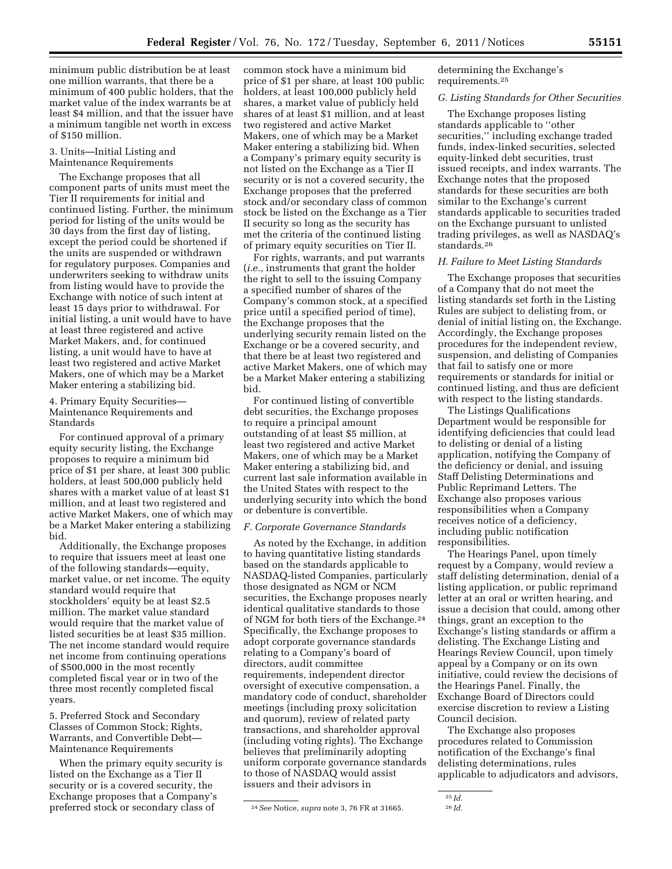minimum public distribution be at least one million warrants, that there be a minimum of 400 public holders, that the market value of the index warrants be at least \$4 million, and that the issuer have a minimum tangible net worth in excess of \$150 million.

### 3. Units—Initial Listing and Maintenance Requirements

The Exchange proposes that all component parts of units must meet the Tier II requirements for initial and continued listing. Further, the minimum period for listing of the units would be 30 days from the first day of listing, except the period could be shortened if the units are suspended or withdrawn for regulatory purposes. Companies and underwriters seeking to withdraw units from listing would have to provide the Exchange with notice of such intent at least 15 days prior to withdrawal. For initial listing, a unit would have to have at least three registered and active Market Makers, and, for continued listing, a unit would have to have at least two registered and active Market Makers, one of which may be a Market Maker entering a stabilizing bid.

## 4. Primary Equity Securities— Maintenance Requirements and Standards

For continued approval of a primary equity security listing, the Exchange proposes to require a minimum bid price of \$1 per share, at least 300 public holders, at least 500,000 publicly held shares with a market value of at least \$1 million, and at least two registered and active Market Makers, one of which may be a Market Maker entering a stabilizing bid.

Additionally, the Exchange proposes to require that issuers meet at least one of the following standards—equity, market value, or net income. The equity standard would require that stockholders' equity be at least \$2.5 million. The market value standard would require that the market value of listed securities be at least \$35 million. The net income standard would require net income from continuing operations of \$500,000 in the most recently completed fiscal year or in two of the three most recently completed fiscal years.

5. Preferred Stock and Secondary Classes of Common Stock; Rights, Warrants, and Convertible Debt— Maintenance Requirements

When the primary equity security is listed on the Exchange as a Tier II security or is a covered security, the Exchange proposes that a Company's preferred stock or secondary class of

common stock have a minimum bid price of \$1 per share, at least 100 public holders, at least 100,000 publicly held shares, a market value of publicly held shares of at least \$1 million, and at least two registered and active Market Makers, one of which may be a Market Maker entering a stabilizing bid. When a Company's primary equity security is not listed on the Exchange as a Tier II security or is not a covered security, the Exchange proposes that the preferred stock and/or secondary class of common stock be listed on the Exchange as a Tier II security so long as the security has met the criteria of the continued listing of primary equity securities on Tier II.

For rights, warrants, and put warrants (*i.e.,* instruments that grant the holder the right to sell to the issuing Company a specified number of shares of the Company's common stock, at a specified price until a specified period of time), the Exchange proposes that the underlying security remain listed on the Exchange or be a covered security, and that there be at least two registered and active Market Makers, one of which may be a Market Maker entering a stabilizing bid.

For continued listing of convertible debt securities, the Exchange proposes to require a principal amount outstanding of at least \$5 million, at least two registered and active Market Makers, one of which may be a Market Maker entering a stabilizing bid, and current last sale information available in the United States with respect to the underlying security into which the bond or debenture is convertible.

# *F. Corporate Governance Standards*

As noted by the Exchange, in addition to having quantitative listing standards based on the standards applicable to NASDAQ-listed Companies, particularly those designated as NGM or NCM securities, the Exchange proposes nearly identical qualitative standards to those of NGM for both tiers of the Exchange.24 Specifically, the Exchange proposes to adopt corporate governance standards relating to a Company's board of directors, audit committee requirements, independent director oversight of executive compensation, a mandatory code of conduct, shareholder meetings (including proxy solicitation and quorum), review of related party transactions, and shareholder approval (including voting rights). The Exchange believes that preliminarily adopting uniform corporate governance standards to those of NASDAQ would assist issuers and their advisors in

determining the Exchange's requirements.25

### *G. Listing Standards for Other Securities*

The Exchange proposes listing standards applicable to ''other securities,'' including exchange traded funds, index-linked securities, selected equity-linked debt securities, trust issued receipts, and index warrants. The Exchange notes that the proposed standards for these securities are both similar to the Exchange's current standards applicable to securities traded on the Exchange pursuant to unlisted trading privileges, as well as NASDAQ's standards.26

### *H. Failure to Meet Listing Standards*

The Exchange proposes that securities of a Company that do not meet the listing standards set forth in the Listing Rules are subject to delisting from, or denial of initial listing on, the Exchange. Accordingly, the Exchange proposes procedures for the independent review, suspension, and delisting of Companies that fail to satisfy one or more requirements or standards for initial or continued listing, and thus are deficient with respect to the listing standards.

The Listings Qualifications Department would be responsible for identifying deficiencies that could lead to delisting or denial of a listing application, notifying the Company of the deficiency or denial, and issuing Staff Delisting Determinations and Public Reprimand Letters. The Exchange also proposes various responsibilities when a Company receives notice of a deficiency, including public notification responsibilities.

The Hearings Panel, upon timely request by a Company, would review a staff delisting determination, denial of a listing application, or public reprimand letter at an oral or written hearing, and issue a decision that could, among other things, grant an exception to the Exchange's listing standards or affirm a delisting. The Exchange Listing and Hearings Review Council, upon timely appeal by a Company or on its own initiative, could review the decisions of the Hearings Panel. Finally, the Exchange Board of Directors could exercise discretion to review a Listing Council decision.

The Exchange also proposes procedures related to Commission notification of the Exchange's final delisting determinations, rules applicable to adjudicators and advisors,

<sup>24</sup>*See* Notice, *supra* note 3, 76 FR at 31665.

<sup>25</sup> *Id.* 

<sup>26</sup> *Id.*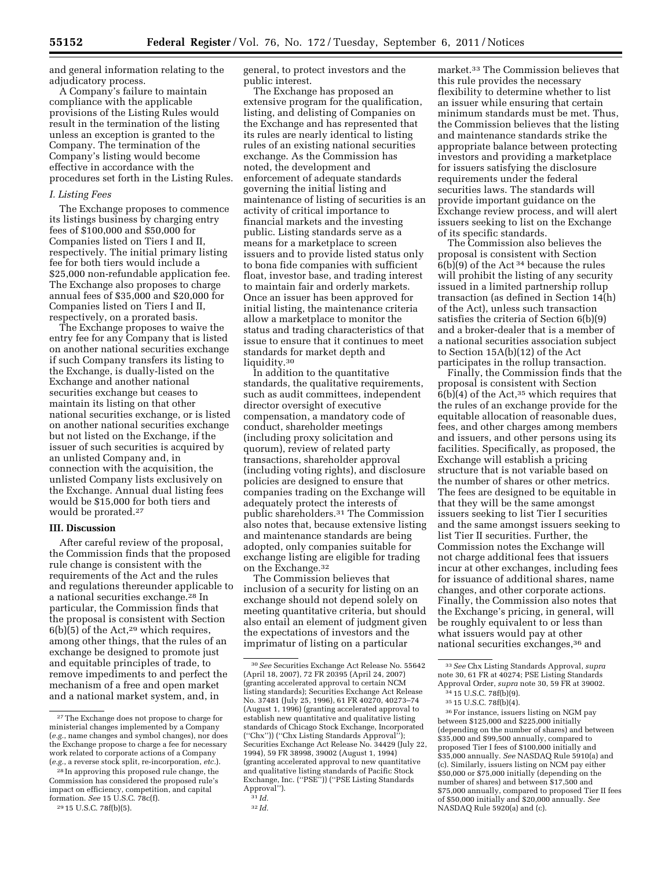and general information relating to the adjudicatory process.

A Company's failure to maintain compliance with the applicable provisions of the Listing Rules would result in the termination of the listing unless an exception is granted to the Company. The termination of the Company's listing would become effective in accordance with the procedures set forth in the Listing Rules.

#### *I. Listing Fees*

The Exchange proposes to commence its listings business by charging entry fees of \$100,000 and \$50,000 for Companies listed on Tiers I and II, respectively. The initial primary listing fee for both tiers would include a \$25,000 non-refundable application fee. The Exchange also proposes to charge annual fees of \$35,000 and \$20,000 for Companies listed on Tiers I and II, respectively, on a prorated basis.

The Exchange proposes to waive the entry fee for any Company that is listed on another national securities exchange if such Company transfers its listing to the Exchange, is dually-listed on the Exchange and another national securities exchange but ceases to maintain its listing on that other national securities exchange, or is listed on another national securities exchange but not listed on the Exchange, if the issuer of such securities is acquired by an unlisted Company and, in connection with the acquisition, the unlisted Company lists exclusively on the Exchange. Annual dual listing fees would be \$15,000 for both tiers and would be prorated.27

#### **III. Discussion**

After careful review of the proposal, the Commission finds that the proposed rule change is consistent with the requirements of the Act and the rules and regulations thereunder applicable to a national securities exchange.28 In particular, the Commission finds that the proposal is consistent with Section  $6(b)(5)$  of the Act,<sup>29</sup> which requires, among other things, that the rules of an exchange be designed to promote just and equitable principles of trade, to remove impediments to and perfect the mechanism of a free and open market and a national market system, and, in

29 15 U.S.C. 78f(b)(5).

general, to protect investors and the public interest.

The Exchange has proposed an extensive program for the qualification, listing, and delisting of Companies on the Exchange and has represented that its rules are nearly identical to listing rules of an existing national securities exchange. As the Commission has noted, the development and enforcement of adequate standards governing the initial listing and maintenance of listing of securities is an activity of critical importance to financial markets and the investing public. Listing standards serve as a means for a marketplace to screen issuers and to provide listed status only to bona fide companies with sufficient float, investor base, and trading interest to maintain fair and orderly markets. Once an issuer has been approved for initial listing, the maintenance criteria allow a marketplace to monitor the status and trading characteristics of that issue to ensure that it continues to meet standards for market depth and liquidity.30

In addition to the quantitative standards, the qualitative requirements, such as audit committees, independent director oversight of executive compensation, a mandatory code of conduct, shareholder meetings (including proxy solicitation and quorum), review of related party transactions, shareholder approval (including voting rights), and disclosure policies are designed to ensure that companies trading on the Exchange will adequately protect the interests of public shareholders.31 The Commission also notes that, because extensive listing and maintenance standards are being adopted, only companies suitable for exchange listing are eligible for trading on the Exchange.32

The Commission believes that inclusion of a security for listing on an exchange should not depend solely on meeting quantitative criteria, but should also entail an element of judgment given the expectations of investors and the imprimatur of listing on a particular

market.33 The Commission believes that this rule provides the necessary flexibility to determine whether to list an issuer while ensuring that certain minimum standards must be met. Thus, the Commission believes that the listing and maintenance standards strike the appropriate balance between protecting investors and providing a marketplace for issuers satisfying the disclosure requirements under the federal securities laws. The standards will provide important guidance on the Exchange review process, and will alert issuers seeking to list on the Exchange of its specific standards.

The Commission also believes the proposal is consistent with Section  $6(b)(9)$  of the Act<sup>34</sup> because the rules will prohibit the listing of any security issued in a limited partnership rollup transaction (as defined in Section 14(h) of the Act), unless such transaction satisfies the criteria of Section 6(b)(9) and a broker-dealer that is a member of a national securities association subject to Section 15A(b)(12) of the Act participates in the rollup transaction.

Finally, the Commission finds that the proposal is consistent with Section  $6(b)(4)$  of the Act,<sup>35</sup> which requires that the rules of an exchange provide for the equitable allocation of reasonable dues, fees, and other charges among members and issuers, and other persons using its facilities. Specifically, as proposed, the Exchange will establish a pricing structure that is not variable based on the number of shares or other metrics. The fees are designed to be equitable in that they will be the same amongst issuers seeking to list Tier I securities and the same amongst issuers seeking to list Tier II securities. Further, the Commission notes the Exchange will not charge additional fees that issuers incur at other exchanges, including fees for issuance of additional shares, name changes, and other corporate actions. Finally, the Commission also notes that the Exchange's pricing, in general, will be roughly equivalent to or less than what issuers would pay at other national securities exchanges,36 and

35 15 U.S.C. 78f(b)(4).

36For instance, issuers listing on NGM pay between \$125,000 and \$225,000 initially (depending on the number of shares) and between \$35,000 and \$99,500 annually, compared to proposed Tier I fees of \$100,000 initially and \$35,000 annually. *See* NASDAQ Rule 5910(a) and (c). Similarly, issuers listing on NCM pay either \$50,000 or \$75,000 initially (depending on the number of shares) and between \$17,500 and \$75,000 annually, compared to proposed Tier II fees of \$50,000 initially and \$20,000 annually. *See*  NASDAQ Rule 5920(a) and (c).

<sup>27</sup>The Exchange does not propose to charge for ministerial changes implemented by a Company (*e.g.*, name changes and symbol changes), nor does the Exchange propose to charge a fee for necessary work related to corporate actions of a Company (*e.g.*, a reverse stock split, re-incorporation, *etc.*).

<sup>28</sup> In approving this proposed rule change, the Commission has considered the proposed rule's impact on efficiency, competition, and capital formation. *See* 15 U.S.C. 78c(f).

<sup>30</sup>*See* Securities Exchange Act Release No. 55642 (April 18, 2007), 72 FR 20395 (April 24, 2007) (granting accelerated approval to certain NCM listing standards); Securities Exchange Act Release No. 37481 (July 25, 1996), 61 FR 40270, 40273–74 (August 1, 1996) (granting accelerated approval to establish new quantitative and qualitative listing standards of Chicago Stock Exchange, Incorporated ("Chx")) ("Chx Listing Standards Approval Securities Exchange Act Release No. 34429 (July 22, 1994), 59 FR 38998, 39002 (August 1, 1994) (granting accelerated approval to new quantitative and qualitative listing standards of Pacific Stock Exchange, Inc. (''PSE'')) (''PSE Listing Standards Approval'').

<sup>31</sup> *Id.*  32 *Id.* 

<sup>33</sup>*See* Chx Listing Standards Approval, *supra*  note 30, 61 FR at 40274; PSE Listing Standards Approval Order, *supra* note 30, 59 FR at 39002.

<sup>34</sup> 15 U.S.C. 78f(b)(9).